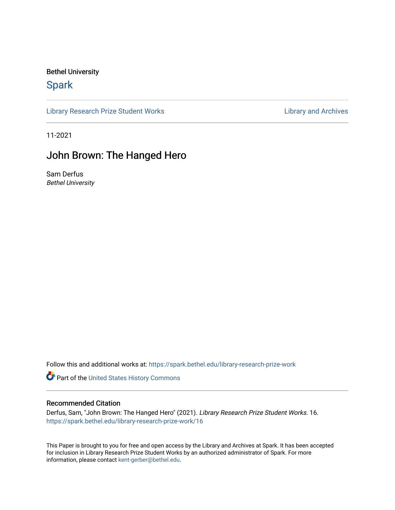## Bethel University

## **Spark**

[Library Research Prize Student Works](https://spark.bethel.edu/library-research-prize-work) **Library Access 2018** Library and Archives

11-2021

# John Brown: The Hanged Hero

Sam Derfus Bethel University

Follow this and additional works at: [https://spark.bethel.edu/library-research-prize-work](https://spark.bethel.edu/library-research-prize-work?utm_source=spark.bethel.edu%2Flibrary-research-prize-work%2F16&utm_medium=PDF&utm_campaign=PDFCoverPages) 

Part of the [United States History Commons](http://network.bepress.com/hgg/discipline/495?utm_source=spark.bethel.edu%2Flibrary-research-prize-work%2F16&utm_medium=PDF&utm_campaign=PDFCoverPages) 

## Recommended Citation

Derfus, Sam, "John Brown: The Hanged Hero" (2021). Library Research Prize Student Works. 16. [https://spark.bethel.edu/library-research-prize-work/16](https://spark.bethel.edu/library-research-prize-work/16?utm_source=spark.bethel.edu%2Flibrary-research-prize-work%2F16&utm_medium=PDF&utm_campaign=PDFCoverPages) 

This Paper is brought to you for free and open access by the Library and Archives at Spark. It has been accepted for inclusion in Library Research Prize Student Works by an authorized administrator of Spark. For more information, please contact [kent-gerber@bethel.edu.](mailto:kent-gerber@bethel.edu)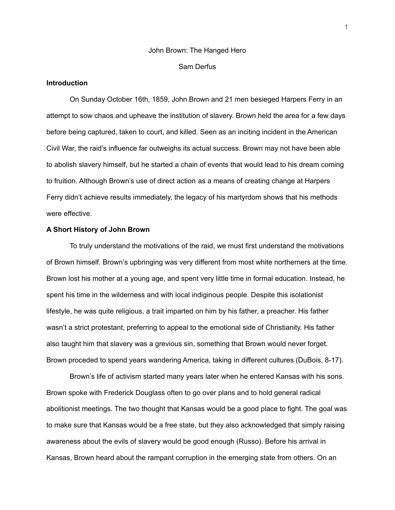# John Brown: The Hanged Hero Sam Derfus

### **Introduction**

On Sunday October 16th, 1859, John Brown and 21 men besieged Harpers Ferry in an attempt to sow chaos and upheave the institution of slavery. Brown held the area for a few days before being captured, taken to court, and killed. Seen as an inciting incident in the American Civil War, the raid's influence far outweighs its actual success. Brown may not have been able to abolish slavery himself, but he started a chain of events that would lead to his dream coming to fruition. Although Brown's use of direct action as a means of creating change at Harpers Ferry didn't achieve results immediately, the legacy of his martyrdom shows that his methods were effective.

## **A Short History of John Brown**

To truly understand the motivations of the raid, we must first understand the motivations of Brown himself. Brown's upbringing was very different from most white northerners at the time. Brown lost his mother at a young age, and spent very little time in formal education. Instead, he spent his time in the wilderness and with local indiginous people. Despite this isolationist lifestyle, he was quite religious, a trait imparted on him by his father, a preacher. His father wasn't a strict protestant, preferring to appeal to the emotional side of Christianity. His father also taught him that slavery was a grevious sin, something that Brown would never forget. Brown proceded to spend years wandering America, taking in different cultures (DuBois, 8-17).

Brown's life of activism started many years later when he entered Kansas with his sons. Brown spoke with Frederick Douglass often to go over plans and to hold general radical abolitionist meetings. The two thought that Kansas would be a good place to fight. The goal was to make sure that Kansas would be a free state, but they also acknowledged that simply raising awareness about the evils of slavery would be good enough (Russo). Before his arrival in Kansas, Brown heard about the rampant corruption in the emerging state from others. On an

1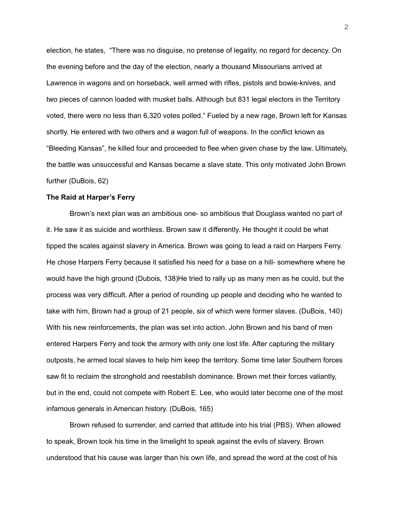election, he states, "There was no disguise, no pretense of legality, no regard for decency. On the evening before and the day of the election, nearly a thousand Missourians arrived at Lawrence in wagons and on horseback, well armed with rifles, pistols and bowie-knives, and two pieces of cannon loaded with musket balls. Although but 831 legal electors in the Territory voted, there were no less than 6,320 votes polled." Fueled by a new rage, Brown left for Kansas shortly. He entered with two others and a wagon full of weapons. In the conflict known as "Bleeding Kansas", he killed four and proceeded to flee when given chase by the law. Ultimately, the battle was unsuccessful and Kansas became a slave state. This only motivated John Brown further (DuBois, 62)

#### **The Raid at Harper's Ferry**

Brown's next plan was an ambitious one- so ambitious that Douglass wanted no part of it. He saw it as suicide and worthless. Brown saw it differently. He thought it could be what tipped the scales against slavery in America. Brown was going to lead a raid on Harpers Ferry. He chose Harpers Ferry because it satisfied his need for a base on a hill- somewhere where he would have the high ground (Dubois, 138)He tried to rally up as many men as he could, but the process was very difficult. After a period of rounding up people and deciding who he wanted to take with him, Brown had a group of 21 people, six of which were former slaves. (DuBois, 140) With his new reinforcements, the plan was set into action. John Brown and his band of men entered Harpers Ferry and took the armory with only one lost life. After capturing the military outposts, he armed local slaves to help him keep the territory. Some time later Southern forces saw fit to reclaim the stronghold and reestablish dominance. Brown met their forces valiantly, but in the end, could not compete with Robert E. Lee, who would later become one of the most infamous generals in American history. (DuBois, 165)

Brown refused to surrender, and carried that attitude into his trial (PBS). When allowed to speak, Brown took his time in the limelight to speak against the evils of slavery. Brown understood that his cause was larger than his own life, and spread the word at the cost of his

2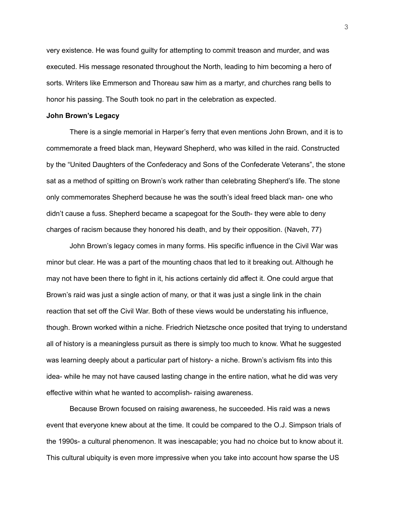very existence. He was found guilty for attempting to commit treason and murder, and was executed. His message resonated throughout the North, leading to him becoming a hero of sorts. Writers like Emmerson and Thoreau saw him as a martyr, and churches rang bells to honor his passing. The South took no part in the celebration as expected.

#### **John Brown's Legacy**

There is a single memorial in Harper's ferry that even mentions John Brown, and it is to commemorate a freed black man, Heyward Shepherd, who was killed in the raid. Constructed by the "United Daughters of the Confederacy and Sons of the Confederate Veterans", the stone sat as a method of spitting on Brown's work rather than celebrating Shepherd's life. The stone only commemorates Shepherd because he was the south's ideal freed black man- one who didn't cause a fuss. Shepherd became a scapegoat for the South- they were able to deny charges of racism because they honored his death, and by their opposition. (Naveh, 77)

John Brown's legacy comes in many forms. His specific influence in the Civil War was minor but clear. He was a part of the mounting chaos that led to it breaking out. Although he may not have been there to fight in it, his actions certainly did affect it. One could argue that Brown's raid was just a single action of many, or that it was just a single link in the chain reaction that set off the Civil War. Both of these views would be understating his influence, though. Brown worked within a niche. Friedrich Nietzsche once posited that trying to understand all of history is a meaningless pursuit as there is simply too much to know. What he suggested was learning deeply about a particular part of history- a niche. Brown's activism fits into this idea- while he may not have caused lasting change in the entire nation, what he did was very effective within what he wanted to accomplish- raising awareness.

Because Brown focused on raising awareness, he succeeded. His raid was a news event that everyone knew about at the time. It could be compared to the O.J. Simpson trials of the 1990s- a cultural phenomenon. It was inescapable; you had no choice but to know about it. This cultural ubiquity is even more impressive when you take into account how sparse the US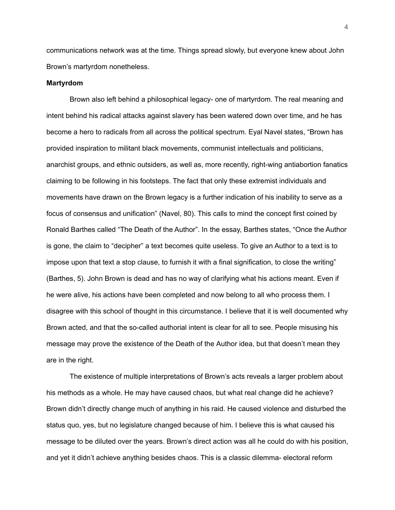communications network was at the time. Things spread slowly, but everyone knew about John Brown's martyrdom nonetheless.

#### **Martyrdom**

Brown also left behind a philosophical legacy- one of martyrdom. The real meaning and intent behind his radical attacks against slavery has been watered down over time, and he has become a hero to radicals from all across the political spectrum. Eyal Navel states, "Brown has provided inspiration to militant black movements, communist intellectuals and politicians, anarchist groups, and ethnic outsiders, as well as, more recently, right-wing antiabortion fanatics claiming to be following in his footsteps. The fact that only these extremist individuals and movements have drawn on the Brown legacy is a further indication of his inability to serve as a focus of consensus and unification" (Navel, 80). This calls to mind the concept first coined by Ronald Barthes called "The Death of the Author". In the essay, Barthes states, "Once the Author is gone, the claim to "decipher" a text becomes quite useless. To give an Author to a text is to impose upon that text a stop clause, to furnish it with a final signification, to close the writing" (Barthes, 5). John Brown is dead and has no way of clarifying what his actions meant. Even if he were alive, his actions have been completed and now belong to all who process them. I disagree with this school of thought in this circumstance. I believe that it is well documented why Brown acted, and that the so-called authorial intent is clear for all to see. People misusing his message may prove the existence of the Death of the Author idea, but that doesn't mean they are in the right.

The existence of multiple interpretations of Brown's acts reveals a larger problem about his methods as a whole. He may have caused chaos, but what real change did he achieve? Brown didn't directly change much of anything in his raid. He caused violence and disturbed the status quo, yes, but no legislature changed because of him. I believe this is what caused his message to be diluted over the years. Brown's direct action was all he could do with his position, and yet it didn't achieve anything besides chaos. This is a classic dilemma- electoral reform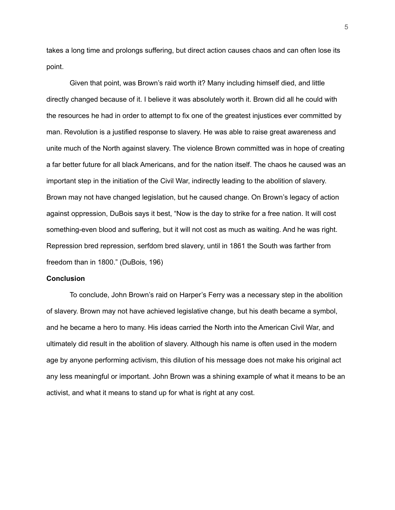takes a long time and prolongs suffering, but direct action causes chaos and can often lose its point.

Given that point, was Brown's raid worth it? Many including himself died, and little directly changed because of it. I believe it was absolutely worth it. Brown did all he could with the resources he had in order to attempt to fix one of the greatest injustices ever committed by man. Revolution is a justified response to slavery. He was able to raise great awareness and unite much of the North against slavery. The violence Brown committed was in hope of creating a far better future for all black Americans, and for the nation itself. The chaos he caused was an important step in the initiation of the Civil War, indirectly leading to the abolition of slavery. Brown may not have changed legislation, but he caused change. On Brown's legacy of action against oppression, DuBois says it best, "Now is the day to strike for a free nation. It will cost something-even blood and suffering, but it will not cost as much as waiting. And he was right. Repression bred repression, serfdom bred slavery, until in 1861 the South was farther from freedom than in 1800." (DuBois, 196)

#### **Conclusion**

To conclude, John Brown's raid on Harper's Ferry was a necessary step in the abolition of slavery. Brown may not have achieved legislative change, but his death became a symbol, and he became a hero to many. His ideas carried the North into the American Civil War, and ultimately did result in the abolition of slavery. Although his name is often used in the modern age by anyone performing activism, this dilution of his message does not make his original act any less meaningful or important. John Brown was a shining example of what it means to be an activist, and what it means to stand up for what is right at any cost.

5